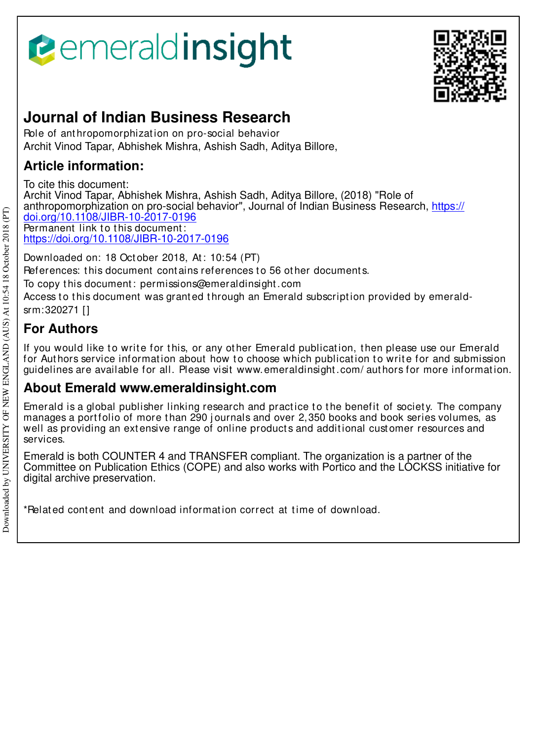



# **Journal of Indian Business Research**

Role of anthropomorphization on pro-social behavior Archit Vinod Tapar, Abhishek Mishra, Ashish Sadh, Aditya Billore,

## **Article information:**

To cite this document: Archit Vinod Tapar, Abhishek Mishra, Ashish Sadh, Aditya Billore, (2018) "Role of anthropomorphization on pro-social behavior", Journal of Indian Business Research, https:// doi.org/10.1108/JIBR-10-2017-0196 Permanent link to this document: https://doi.org/10.1108/JIBR-10-2017-0196

Downloaded on: 18 Oct ober 2018, At : 10:54 (PT) References: this document contains references to 56 other documents.

To copy t his document : permissions@emeraldinsight .com

Access to this document was granted through an Emerald subscription provided by emeraldsrm:320271 []

# **For Authors**

If you would like to write for this, or any other Emerald publication, then please use our Emerald for Authors service information about how to choose which publication to write for and submission guidelines are available for all. Please visit www.emeraldinsight.com/ authors for more information.

# **About Emerald www.emeraldinsight.com**

Emerald is a global publisher linking research and practice to the benefit of society. The company manages a portfolio of more than 290 journals and over 2,350 books and book series volumes, as well as providing an extensive range of online products and additional customer resources and services.

Emerald is both COUNTER 4 and TRANSFER compliant. The organization is a partner of the Committee on Publication Ethics (COPE) and also works with Portico and the LOCKSS initiative for digital archive preservation.

\*Relat ed cont ent and download informat ion correct at t ime of download.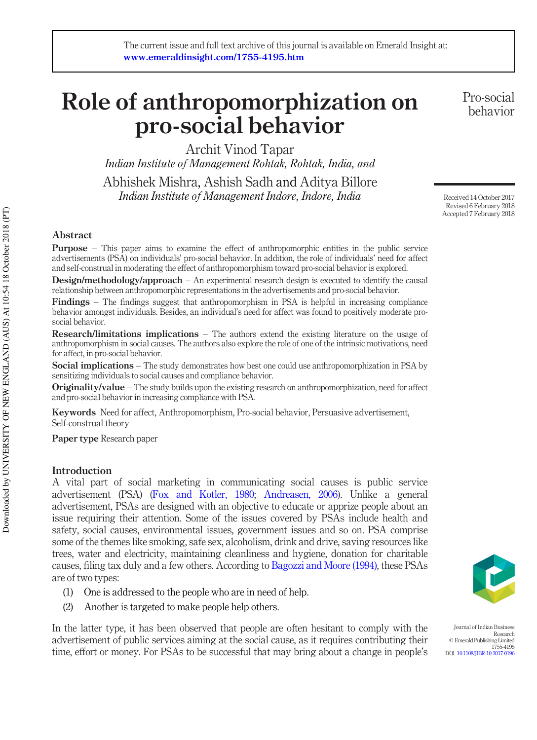# Role of anthropomorphization on pro-social behavior

Archit Vinod Tapar

*Indian Institute of Management Rohtak, Rohtak, India, and*

Abhishek Mishra, Ashish Sadh and Aditya Billore *Indian Institute of Management Indore, Indore, India*

## Pro-social behavior

Received 14 October 2017 Revised 6 February 2018 Accepted 7 February 2018

#### Abstract

**Purpose** – This paper aims to examine the effect of anthropomorphic entities in the public service advertisements (PSA) on individuals' pro-social behavior. In addition, the role of individuals' need for affect and self-construal in moderating the effect of anthropomorphism toward pro-social behavior is explored.

**Design/methodology/approach** – An experimental research design is executed to identify the causal relationship between anthropomorphic representations in the advertisements and pro-social behavior.

Findings – The findings suggest that anthropomorphism in PSA is helpful in increasing compliance behavior amongst individuals. Besides, an individual's need for affect was found to positively moderate prosocial behavior.

Research/limitations implications – The authors extend the existing literature on the usage of anthropomorphism in social causes. The authors also explore the role of one of the intrinsic motivations, need for affect, in pro-social behavior.

Social implications – The study demonstrates how best one could use anthropomorphization in PSA by sensitizing individuals to social causes and compliance behavior.

**Originality/value** – The study builds upon the existing research on anthropomorphization, need for affect and pro-social behavior in increasing compliance with PSA.

Keywords Need for affect, Anthropomorphism, Pro-social behavior, Persuasive advertisement, Self-construal theory

Paper type Research paper

#### Introduction

A vital part of social marketing in communicating social causes is public service advertisement (PSA) (Fox and Kotler, 1980; Andreasen, 2006). Unlike a general advertisement, PSAs are designed with an objective to educate or apprize people about an issue requiring their attention. Some of the issues covered by PSAs include health and safety, social causes, environmental issues, government issues and so on. PSA comprise some of the themes like smoking, safe sex, alcoholism, drink and drive, saving resources like trees, water and electricity, maintaining cleanliness and hygiene, donation for charitable causes, filing tax duly and a few others. According to Bagozzi and Moore (1994), these PSAs are of two types:

- (1) One is addressed to the people who are in need of help.
- (2) Another is targeted to make people help others.

In the latter type, it has been observed that people are often hesitant to comply with the advertisement of public services aiming at the social cause, as it requires contributing their time, effort or money. For PSAs to be successful that may bring about a change in people's



Journal of Indian Business Research © Emerald Publishing Limited 1755-4195 DOI 10.1108/JIBR-10-2017-0196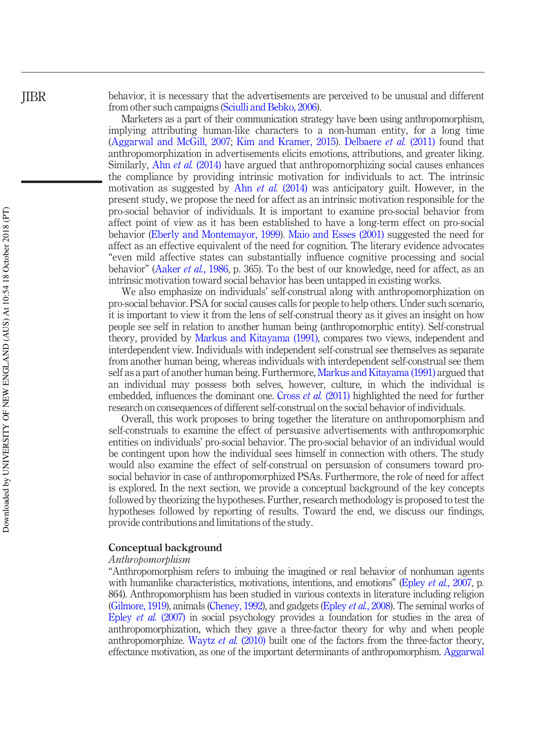behavior, it is necessary that the advertisements are perceived to be unusual and different from other such campaigns (Sciulli and Bebko, 2006).

Marketers as a part of their communication strategy have been using anthropomorphism, implying attributing human-like characters to a non-human entity, for a long time (Aggarwal and McGill, 2007; Kim and Kramer, 2015). Delbaere *et al.* (2011) found that anthropomorphization in advertisements elicits emotions, attributions, and greater liking. Similarly, Ahn *et al.* (2014) have argued that anthropomorphizing social causes enhances the compliance by providing intrinsic motivation for individuals to act. The intrinsic motivation as suggested by Ahn *et al.* (2014) was anticipatory guilt. However, in the present study, we propose the need for affect as an intrinsic motivation responsible for the pro-social behavior of individuals. It is important to examine pro-social behavior from affect point of view as it has been established to have a long-term effect on pro-social behavior (Eberly and Montemayor, 1999). Maio and Esses (2001) suggested the need for affect as an effective equivalent of the need for cognition. The literary evidence advocates "even mild affective states can substantially influence cognitive processing and social behavior" (Aaker *et al.*, 1986, p. 365). To the best of our knowledge, need for affect, as an intrinsic motivation toward social behavior has been untapped in existing works.

We also emphasize on individuals' self-construal along with anthropomorphization on pro-social behavior. PSA for social causes calls for people to help others. Under such scenario, it is important to view it from the lens of self-construal theory as it gives an insight on how people see self in relation to another human being (anthropomorphic entity). Self-construal theory, provided by Markus and Kitayama (1991), compares two views, independent and interdependent view. Individuals with independent self-construal see themselves as separate from another human being, whereas individuals with interdependent self-construal see them self as a part of another human being. Furthermore, Markus and Kitayama (1991) argued that an individual may possess both selves, however, culture, in which the individual is embedded, influences the dominant one. Cross *et al.* (2011) highlighted the need for further research on consequences of different self-construal on the social behavior of individuals.

Overall, this work proposes to bring together the literature on anthropomorphism and self-construals to examine the effect of persuasive advertisements with anthropomorphic entities on individuals' pro-social behavior. The pro-social behavior of an individual would be contingent upon how the individual sees himself in connection with others. The study would also examine the effect of self-construal on persuasion of consumers toward prosocial behavior in case of anthropomorphized PSAs. Furthermore, the role of need for affect is explored. In the next section, we provide a conceptual background of the key concepts followed by theorizing the hypotheses. Further, research methodology is proposed to test the hypotheses followed by reporting of results. Toward the end, we discuss our findings, provide contributions and limitations of the study.

#### Conceptual background

#### *Anthropomorphism*

"Anthropomorphism refers to imbuing the imagined or real behavior of nonhuman agents with humanlike characteristics, motivations, intentions, and emotions" (Epley *et al.*, 2007, p. 864). Anthropomorphism has been studied in various contexts in literature including religion (Gilmore, 1919), animals (Cheney, 1992), and gadgets (Epley *et al.*, 2008). The seminal works of Epley *et al.* (2007) in social psychology provides a foundation for studies in the area of anthropomorphization, which they gave a three-factor theory for why and when people anthropomorphize. Waytz *et al.* (2010) built one of the factors from the three-factor theory, effectance motivation, as one of the important determinants of anthropomorphism. Aggarwal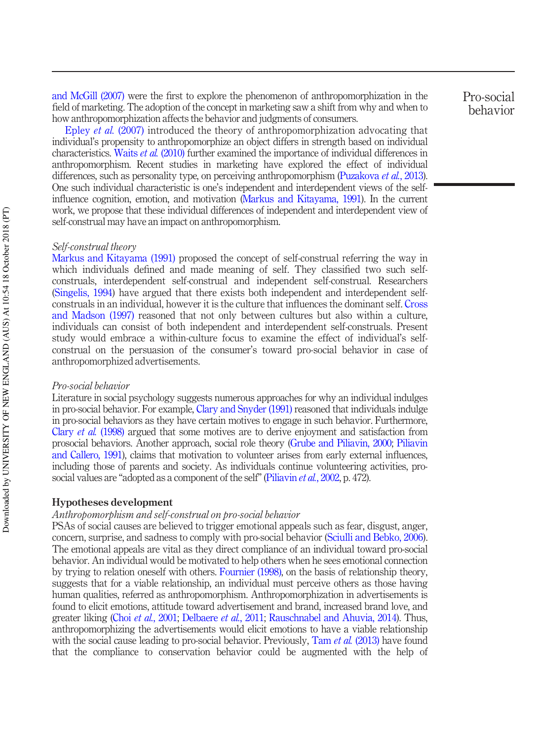and McGill (2007) were the first to explore the phenomenon of anthropomorphization in the field of marketing. The adoption of the concept in marketing saw a shift from why and when to how anthropomorphization affects the behavior and judgments of consumers.

Epley *et al.* (2007) introduced the theory of anthropomorphization advocating that individual's propensity to anthropomorphize an object differs in strength based on individual characteristics. Waits *et al.* (2010) further examined the importance of individual differences in anthropomorphism. Recent studies in marketing have explored the effect of individual differences, such as personality type, on perceiving anthropomorphism (Puzakova *et al.*, 2013). One such individual characteristic is one's independent and interdependent views of the selfinfluence cognition, emotion, and motivation (Markus and Kitayama, 1991). In the current work, we propose that these individual differences of independent and interdependent view of self-construal may have an impact on anthropomorphism.

#### *Self-construal theory*

Markus and Kitayama (1991) proposed the concept of self-construal referring the way in which individuals defined and made meaning of self. They classified two such selfconstruals, interdependent self-construal and independent self-construal. Researchers (Singelis, 1994) have argued that there exists both independent and interdependent selfconstruals in an individual, however it is the culture that influences the dominant self. Cross and Madson (1997) reasoned that not only between cultures but also within a culture, individuals can consist of both independent and interdependent self-construals. Present study would embrace a within-culture focus to examine the effect of individual's selfconstrual on the persuasion of the consumer's toward pro-social behavior in case of anthropomorphized advertisements.

#### *Pro-social behavior*

Literature in social psychology suggests numerous approaches for why an individual indulges in pro-social behavior. For example, Clary and Snyder (1991) reasoned that individuals indulge in pro-social behaviors as they have certain motives to engage in such behavior. Furthermore, Clary *et al.* (1998) argued that some motives are to derive enjoyment and satisfaction from prosocial behaviors. Another approach, social role theory (Grube and Piliavin, 2000; Piliavin and Callero, 1991), claims that motivation to volunteer arises from early external influences, including those of parents and society. As individuals continue volunteering activities, prosocial values are "adopted as a component of the self"(Piliavin *et al.*, 2002, p. 472).

#### Hypotheses development

#### *Anthropomorphism and self-construal on pro-social behavior*

PSAs of social causes are believed to trigger emotional appeals such as fear, disgust, anger, concern, surprise, and sadness to comply with pro-social behavior (Sciulli and Bebko, 2006). The emotional appeals are vital as they direct compliance of an individual toward pro-social behavior. An individual would be motivated to help others when he sees emotional connection by trying to relation oneself with others. Fournier (1998), on the basis of relationship theory, suggests that for a viable relationship, an individual must perceive others as those having human qualities, referred as anthropomorphism. Anthropomorphization in advertisements is found to elicit emotions, attitude toward advertisement and brand, increased brand love, and greater liking (Choi *et al.*, 2001; Delbaere *et al.*, 2011; Rauschnabel and Ahuvia, 2014). Thus, anthropomorphizing the advertisements would elicit emotions to have a viable relationship with the social cause leading to pro-social behavior. Previously, Tam *et al.* (2013) have found that the compliance to conservation behavior could be augmented with the help of Pro-social behavior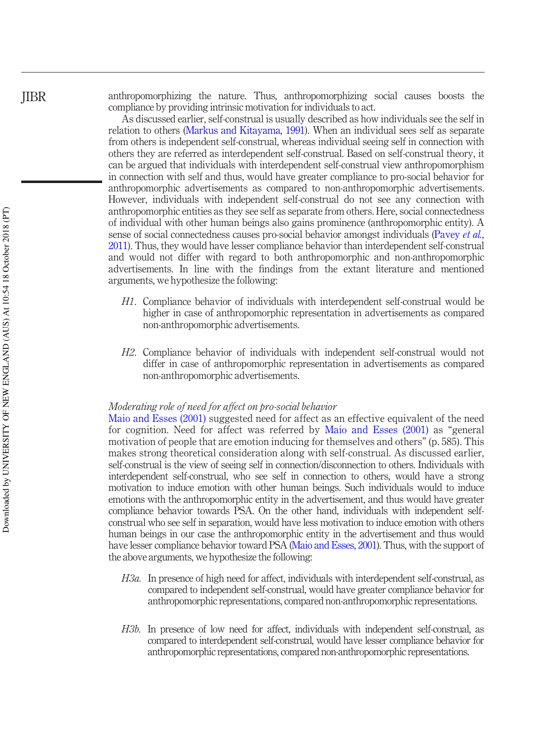anthropomorphizing the nature. Thus, anthropomorphizing social causes boosts the compliance by providing intrinsic motivation for individuals to act.

As discussed earlier, self-construal is usually described as how individuals see the self in relation to others (Markus and Kitayama, 1991). When an individual sees self as separate from others is independent self-construal, whereas individual seeing self in connection with others they are referred as interdependent self-construal. Based on self-construal theory, it can be argued that individuals with interdependent self-construal view anthropomorphism in connection with self and thus, would have greater compliance to pro-social behavior for anthropomorphic advertisements as compared to non-anthropomorphic advertisements. However, individuals with independent self-construal do not see any connection with anthropomorphic entities as they see self as separate from others. Here, social connectedness of individual with other human beings also gains prominence (anthropomorphic entity). A sense of social connectedness causes pro-social behavior amongst individuals (Pavey *et al.*, 2011). Thus, they would have lesser compliance behavior than interdependent self-construal and would not differ with regard to both anthropomorphic and non-anthropomorphic advertisements. In line with the findings from the extant literature and mentioned arguments, we hypothesize the following:

- *H1*. Compliance behavior of individuals with interdependent self-construal would be higher in case of anthropomorphic representation in advertisements as compared non-anthropomorphic advertisements.
- *H2*. Compliance behavior of individuals with independent self-construal would not differ in case of anthropomorphic representation in advertisements as compared non-anthropomorphic advertisements.

#### *Moderating role of need for a*ff*ect on pro-social behavior*

Maio and Esses (2001) suggested need for affect as an effective equivalent of the need for cognition. Need for affect was referred by Maio and Esses (2001) as "general motivation of people that are emotion inducing for themselves and others" (p. 585). This makes strong theoretical consideration along with self-construal. As discussed earlier, self-construal is the view of seeing self in connection/disconnection to others. Individuals with interdependent self-construal, who see self in connection to others, would have a strong motivation to induce emotion with other human beings. Such individuals would to induce emotions with the anthropomorphic entity in the advertisement, and thus would have greater compliance behavior towards PSA. On the other hand, individuals with independent selfconstrual who see self in separation, would have less motivation to induce emotion with others human beings in our case the anthropomorphic entity in the advertisement and thus would have lesser compliance behavior toward PSA (Maio and Esses, 2001). Thus, with the support of the above arguments, we hypothesize the following:

- *H3a.* In presence of high need for affect, individuals with interdependent self-construal, as compared to independent self-construal, would have greater compliance behavior for anthropomorphic representations, compared non-anthropomorphic representations.
- *H3b.* In presence of low need for affect, individuals with independent self-construal, as compared to interdependent self-construal, would have lesser compliance behavior for anthropomorphic representations, compared non-anthropomorphic representations.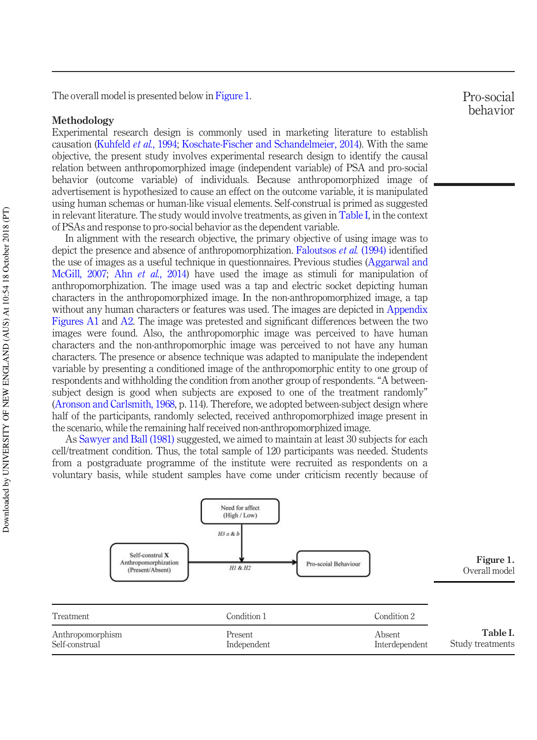The overall model is presented below in Figure 1.

#### Methodology

Experimental research design is commonly used in marketing literature to establish causation (Kuhfeld *et al.*, 1994; Koschate-Fischer and Schandelmeier, 2014). With the same objective, the present study involves experimental research design to identify the causal relation between anthropomorphized image (independent variable) of PSA and pro-social behavior (outcome variable) of individuals. Because anthropomorphized image of advertisement is hypothesized to cause an effect on the outcome variable, it is manipulated using human schemas or human-like visual elements. Self-construal is primed as suggested in relevant literature. The study would involve treatments, as given in Table I, in the context of PSAs and response to pro-social behavior as the dependent variable.

In alignment with the research objective, the primary objective of using image was to depict the presence and absence of anthropomorphization. Faloutsos *et al.* (1994) identified the use of images as a useful technique in questionnaires. Previous studies (Aggarwal and McGill, 2007; Ahn *et al.*, 2014) have used the image as stimuli for manipulation of anthropomorphization. The image used was a tap and electric socket depicting human characters in the anthropomorphized image. In the non-anthropomorphized image, a tap without any human characters or features was used. The images are depicted in Appendix Figures A1 and A2. The image was pretested and significant differences between the two images were found. Also, the anthropomorphic image was perceived to have human characters and the non-anthropomorphic image was perceived to not have any human characters. The presence or absence technique was adapted to manipulate the independent variable by presenting a conditioned image of the anthropomorphic entity to one group of respondents and withholding the condition from another group of respondents. "A betweensubject design is good when subjects are exposed to one of the treatment randomly" (Aronson and Carlsmith, 1968, p. 114). Therefore, we adopted between-subject design where half of the participants, randomly selected, received anthropomorphized image present in the scenario, while the remaining half received non-anthropomorphized image.

As Sawyer and Ball (1981) suggested, we aimed to maintain at least 30 subjects for each cell/treatment condition. Thus, the total sample of 120 participants was needed. Students from a postgraduate programme of the institute were recruited as respondents on a voluntary basis, while student samples have come under criticism recently because of

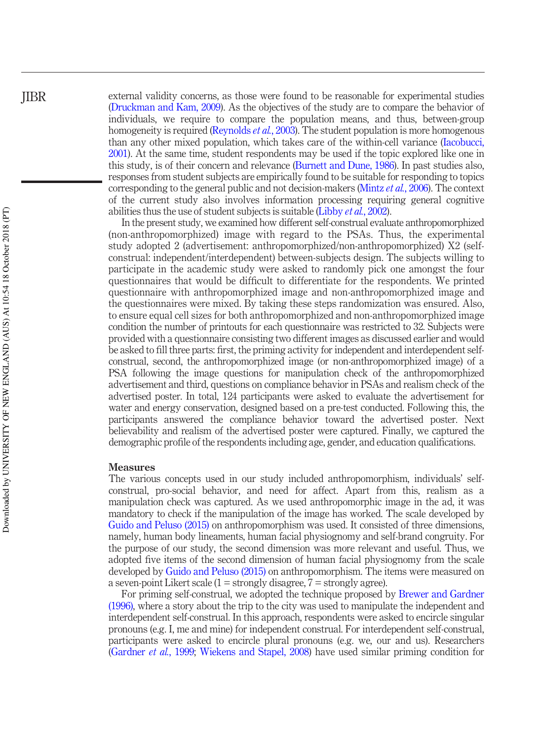external validity concerns, as those were found to be reasonable for experimental studies (Druckman and Kam, 2009). As the objectives of the study are to compare the behavior of individuals, we require to compare the population means, and thus, between-group homogeneity is required (Reynolds *et al.*, 2003). The student population is more homogenous than any other mixed population, which takes care of the within-cell variance (Iacobucci, 2001). At the same time, student respondents may be used if the topic explored like one in this study, is of their concern and relevance (Burnett and Dune, 1986). In past studies also, responses from student subjects are empirically found to be suitable for responding to topics corresponding to the general public and not decision-makers (Mintz *et al.*, 2006). The context of the current study also involves information processing requiring general cognitive abilities thus the use of student subjects is suitable (Libby *et al.*, 2002).

In the present study, we examined how different self-construal evaluate anthropomorphized (non-anthropomorphized) image with regard to the PSAs. Thus, the experimental study adopted 2 (advertisement: anthropomorphized/non-anthropomorphized) X2 (selfconstrual: independent/interdependent) between-subjects design. The subjects willing to participate in the academic study were asked to randomly pick one amongst the four questionnaires that would be difficult to differentiate for the respondents. We printed questionnaire with anthropomorphized image and non-anthropomorphized image and the questionnaires were mixed. By taking these steps randomization was ensured. Also, to ensure equal cell sizes for both anthropomorphized and non-anthropomorphized image condition the number of printouts for each questionnaire was restricted to 32. Subjects were provided with a questionnaire consisting two different images as discussed earlier and would be asked to fill three parts: first, the priming activity for independent and interdependent selfconstrual, second, the anthropomorphized image (or non-anthropomorphized image) of a PSA following the image questions for manipulation check of the anthropomorphized advertisement and third, questions on compliance behavior in PSAs and realism check of the advertised poster. In total, 124 participants were asked to evaluate the advertisement for water and energy conservation, designed based on a pre-test conducted. Following this, the participants answered the compliance behavior toward the advertised poster. Next believability and realism of the advertised poster were captured. Finally, we captured the demographic profile of the respondents including age, gender, and education qualifications.

#### Measures

The various concepts used in our study included anthropomorphism, individuals' selfconstrual, pro-social behavior, and need for affect. Apart from this, realism as a manipulation check was captured. As we used anthropomorphic image in the ad, it was mandatory to check if the manipulation of the image has worked. The scale developed by Guido and Peluso (2015) on anthropomorphism was used. It consisted of three dimensions, namely, human body lineaments, human facial physiognomy and self-brand congruity. For the purpose of our study, the second dimension was more relevant and useful. Thus, we adopted five items of the second dimension of human facial physiognomy from the scale developed by Guido and Peluso (2015) on anthropomorphism. The items were measured on a seven-point Likert scale  $(1 =$  strongly disagree,  $7 =$  strongly agree).

For priming self-construal, we adopted the technique proposed by Brewer and Gardner (1996), where a story about the trip to the city was used to manipulate the independent and interdependent self-construal. In this approach, respondents were asked to encircle singular pronouns (e.g. I, me and mine) for independent construal. For interdependent self-construal, participants were asked to encircle plural pronouns (e.g. we, our and us). Researchers (Gardner *et al.*, 1999; Wiekens and Stapel, 2008) have used similar priming condition for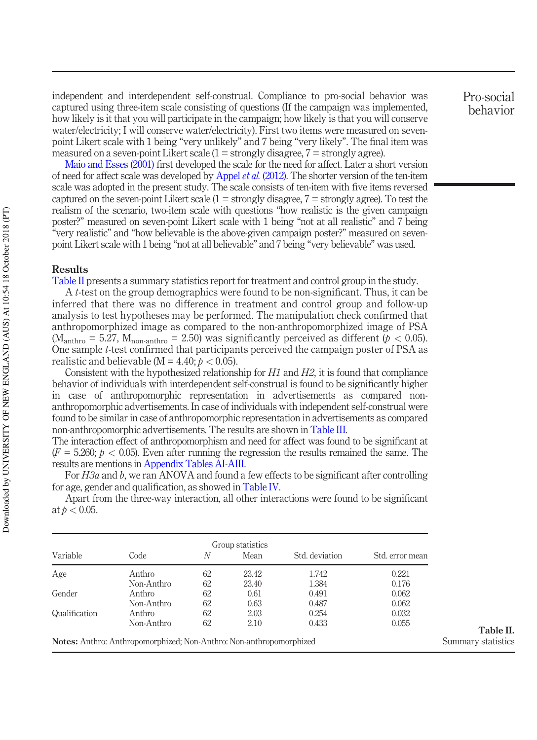independent and interdependent self-construal. Compliance to pro-social behavior was captured using three-item scale consisting of questions (If the campaign was implemented, how likely is it that you will participate in the campaign; how likely is that you will conserve water/electricity; I will conserve water/electricity). First two items were measured on sevenpoint Likert scale with 1 being "very unlikely" and 7 being "very likely". The final item was measured on a seven-point Likert scale (1 = strongly disagree, 7 = strongly agree).

Maio and Esses (2001) first developed the scale for the need for affect. Later a short version of need for affect scale was developed by Appel *et al.* (2012). The shorter version of the ten-item scale was adopted in the present study. The scale consists of ten-item with five items reversed captured on the seven-point Likert scale  $(1 =$  strongly disagree,  $7 =$  strongly agree). To test the realism of the scenario, two-item scale with questions "how realistic is the given campaign poster?" measured on seven-point Likert scale with 1 being "not at all realistic" and 7 being "very realistic" and "how believable is the above-given campaign poster?" measured on sevenpoint Likert scale with 1 being "not at all believable" and 7 being "very believable" was used.

#### Results

Table II presents a summary statistics report for treatment and control group in the study.

A *t*-test on the group demographics were found to be non-significant. Thus, it can be inferred that there was no difference in treatment and control group and follow-up analysis to test hypotheses may be performed. The manipulation check confirmed that anthropomorphized image as compared to the non-anthropomorphized image of PSA ( $M<sub>anthro</sub> = 5.27$ ,  $M<sub>non-anthro</sub> = 2.50$ ) was significantly perceived as different ( $p < 0.05$ ). One sample *t*-test confirmed that participants perceived the campaign poster of PSA as realistic and believable ( $M = 4.40$ ;  $p < 0.05$ ).

Consistent with the hypothesized relationship for *H1* and *H2*, it is found that compliance behavior of individuals with interdependent self-construal is found to be significantly higher in case of anthropomorphic representation in advertisements as compared nonanthropomorphic advertisements. In case of individuals with independent self-construal were found to be similar in case of anthropomorphic representation in advertisements as compared non-anthropomorphic advertisements. The results are shown in Table III.

The interaction effect of anthropomorphism and need for affect was found to be significant at  $(F = 5.260; p < 0.05)$ . Even after running the regression the results remained the same. The results are mentions in Appendix Tables AI-AIII.

For *H3a* and *b*, we ran ANOVA and found a few effects to be significant after controlling for age, gender and qualification, as showed in Table IV.

Apart from the three-way interaction, all other interactions were found to be significant at  $p < 0.05$ .

| Variable      | Code       | N  | Mean  | Std. deviation | Std. error mean |
|---------------|------------|----|-------|----------------|-----------------|
| Age           | Anthro     | 62 | 23.42 | 1.742          | 0.221           |
|               | Non-Anthro | 62 | 23.40 | 1.384          | 0.176           |
| Gender        | Anthro     | 62 | 0.61  | 0.491          | 0.062           |
|               | Non-Anthro | 62 | 0.63  | 0.487          | 0.062           |
| Qualification | Anthro     | 62 | 2.03  | 0.254          | 0.032           |
|               | Non-Anthro | 62 | 2.10  | 0.433          | 0.055           |

Pro-social behavior

Table II. Summary statistics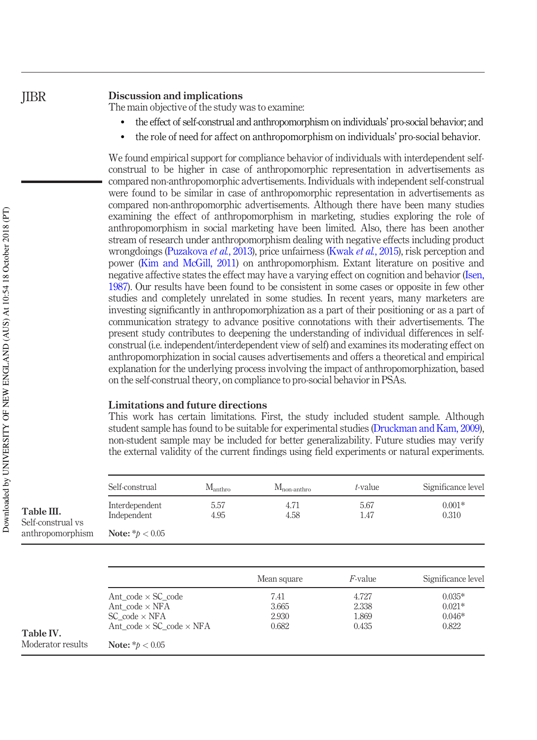#### Discussion and implications

The main objective of the study was to examine:

- the effect of self-construal and anthropomorphism on individuals' pro-social behavior; and
- the role of need for affect on anthropomorphism on individuals' pro-social behavior.

We found empirical support for compliance behavior of individuals with interdependent selfconstrual to be higher in case of anthropomorphic representation in advertisements as compared non-anthropomorphic advertisements. Individuals with independent self-construal were found to be similar in case of anthropomorphic representation in advertisements as compared non-anthropomorphic advertisements. Although there have been many studies examining the effect of anthropomorphism in marketing, studies exploring the role of anthropomorphism in social marketing have been limited. Also, there has been another stream of research under anthropomorphism dealing with negative effects including product wrongdoings (Puzakova *et al.*, 2013), price unfairness (Kwak *et al.*, 2015), risk perception and power (Kim and McGill, 2011) on anthropomorphism. Extant literature on positive and negative affective states the effect may have a varying effect on cognition and behavior (Isen, 1987). Our results have been found to be consistent in some cases or opposite in few other studies and completely unrelated in some studies. In recent years, many marketers are investing significantly in anthropomorphization as a part of their positioning or as a part of communication strategy to advance positive connotations with their advertisements. The present study contributes to deepening the understanding of individual differences in selfconstrual (i.e. independent/interdependent view of self) and examines its moderating effect on anthropomorphization in social causes advertisements and offers a theoretical and empirical explanation for the underlying process involving the impact of anthropomorphization, based on the self-construal theory, on compliance to pro-social behavior in PSAs.

#### Limitations and future directions

This work has certain limitations. First, the study included student sample. Although student sample has found to be suitable for experimental studies (Druckman and Kam, 2009), non-student sample may be included for better generalizability. Future studies may verify the external validity of the current findings using field experiments or natural experiments.

|                                 | Self-construal                         | $M_{\rm anthrop}$ | $M_{\rm non-anthro}$ | $t$ -value   | Significance level |  |
|---------------------------------|----------------------------------------|-------------------|----------------------|--------------|--------------------|--|
| Table III.<br>Self-construal vs | Interdependent<br>Independent          | 5.57<br>4.95      | 4.71<br>4.58         | 5.67<br>1.47 | $0.001*$<br>0.310  |  |
| anthropomorphism                | <b>Note:</b> $*b < 0.05$               |                   |                      |              |                    |  |
|                                 |                                        |                   |                      |              |                    |  |
|                                 |                                        |                   | Mean square          | $F$ -value   | Significance level |  |
|                                 | Ant code $\times$ SC code              |                   | 7.41                 | 4.727        | $0.035*$           |  |
|                                 | Ant code $\times$ NFA                  |                   | 3.665                | 2.338        | $0.021*$           |  |
|                                 | $SC \text{ code} \times \text{NFA}$    |                   | 2.930                | 1.869        | $0.046*$           |  |
| Table IV.                       | Ant code $\times$ SC code $\times$ NFA |                   | 0.682                | 0.435        | 0.822              |  |
| Moderator results               | <b>Note:</b> $*b < 0.05$               |                   |                      |              |                    |  |

T<sub>a</sub> Self-construction self-construction self-construction self-construction self-construction self-construction self-construction self-construction self-construction self-construction self-construction self-construction self-c ant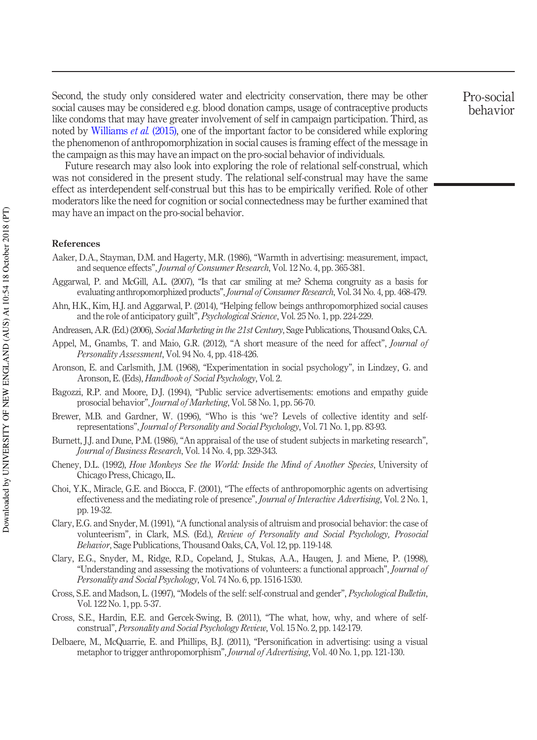Second, the study only considered water and electricity conservation, there may be other social causes may be considered e.g. blood donation camps, usage of contraceptive products like condoms that may have greater involvement of self in campaign participation. Third, as noted by Williams *et al.* (2015), one of the important factor to be considered while exploring the phenomenon of anthropomorphization in social causes is framing effect of the message in the campaign as this may have an impact on the pro-social behavior of individuals.

Future research may also look into exploring the role of relational self-construal, which was not considered in the present study. The relational self-construal may have the same effect as interdependent self-construal but this has to be empirically verified. Role of other moderators like the need for cognition or social connectedness may be further examined that may have an impact on the pro-social behavior.

#### References

- Aaker, D.A., Stayman, D.M. and Hagerty, M.R. (1986), "Warmth in advertising: measurement, impact, and sequence effects", *Journal of Consumer Research*, Vol. 12 No. 4, pp. 365-381.
- Aggarwal, P. and McGill, A.L. (2007), "Is that car smiling at me? Schema congruity as a basis for evaluating anthropomorphized products", *Journal of Consumer Research*, Vol. 34 No. 4, pp. 468-479.
- Ahn, H.K., Kim, H.J. and Aggarwal, P. (2014), "Helping fellow beings anthropomorphized social causes and the role of anticipatory guilt", *Psychological Science*, Vol. 25 No. 1, pp. 224-229.
- Andreasen, A.R. (Ed.) (2006), *Social Marketing in the 21st Century*, Sage Publications, Thousand Oaks, CA.
- Appel, M., Gnambs, T. and Maio, G.R. (2012), "A short measure of the need for affect", *Journal of Personality Assessment*, Vol. 94 No. 4, pp. 418-426.
- Aronson, E. and Carlsmith, J.M. (1968), "Experimentation in social psychology", in Lindzey, G. and Aronson, E. (Eds), *Handbook of Social Psychology*, Vol. 2.
- Bagozzi, R.P. and Moore, D.J. (1994), "Public service advertisements: emotions and empathy guide prosocial behavior", *Journal of Marketing*, Vol. 58 No. 1, pp. 56-70.
- Brewer, M.B. and Gardner, W. (1996), "Who is this 'we'? Levels of collective identity and selfrepresentations", *Journal of Personality and Social Psychology*, Vol. 71 No. 1, pp. 83-93.
- Burnett, J.J. and Dune, P.M. (1986), "An appraisal of the use of student subjects in marketing research", *Journal of Business Research*, Vol. 14 No. 4, pp. 329-343.
- Cheney, D.L. (1992), *How Monkeys See the World: Inside the Mind of Another Species*, University of Chicago Press, Chicago, IL.
- Choi, Y.K., Miracle, G.E. and Biocca, F. (2001), "The effects of anthropomorphic agents on advertising effectiveness and the mediating role of presence", *Journal of Interactive Advertising*, Vol. 2 No. 1, pp. 19-32.
- Clary, E.G. and Snyder, M. (1991), "A functional analysis of altruism and prosocial behavior: the case of volunteerism", in Clark, M.S. (Ed.), *Review of Personality and Social Psychology, Prosocial Behavior*, Sage Publications, Thousand Oaks, CA, Vol. 12, pp. 119-148.
- Clary, E.G., Snyder, M., Ridge, R.D., Copeland, J., Stukas, A.A., Haugen, J. and Miene, P. (1998), "Understanding and assessing the motivations of volunteers: a functional approach", *Journal of Personality and Social Psychology*, Vol. 74 No. 6, pp. 1516-1530.
- Cross, S.E. and Madson, L. (1997), "Models of the self: self-construal and gender", *Psychological Bulletin*, Vol. 122 No. 1, pp. 5-37.
- Cross, S.E., Hardin, E.E. and Gercek-Swing, B. (2011), "The what, how, why, and where of selfconstrual", *Personality and Social Psychology Review*, Vol. 15 No. 2, pp. 142-179.
- Delbaere, M., McQuarrie, E. and Phillips, B.J. (2011), "Personification in advertising: using a visual metaphor to trigger anthropomorphism", *Journal of Advertising*, Vol. 40 No. 1, pp. 121-130.

Pro-social behavior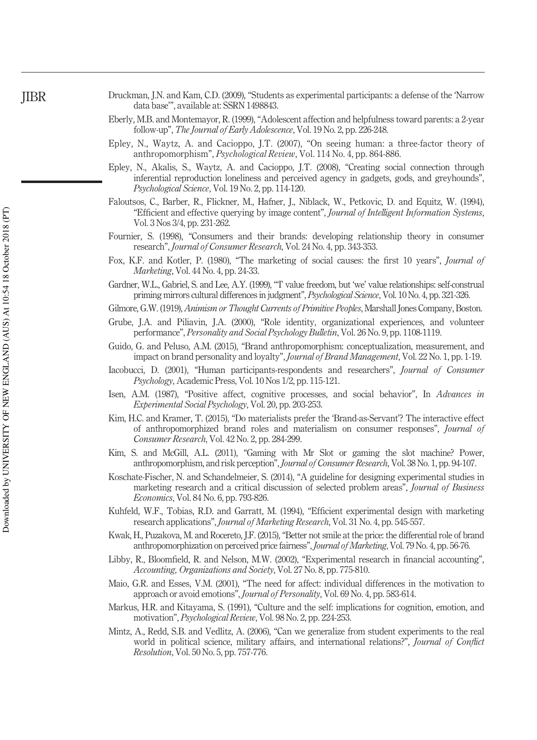- Druckman, J.N. and Kam, C.D. (2009), "Students as experimental participants: a defense of the 'Narrow data base'", available at: SSRN 1498843.
- Eberly, M.B. and Montemayor, R. (1999), "Adolescent affection and helpfulness toward parents: a 2-year follow-up", *The Journal of Early Adolescence*, Vol. 19 No. 2, pp. 226-248.
- Epley, N., Waytz, A. and Cacioppo, J.T. (2007), "On seeing human: a three-factor theory of anthropomorphism", *Psychological Review*, Vol. 114 No. 4, pp. 864-886.
- Epley, N., Akalis, S., Waytz, A. and Cacioppo, J.T. (2008), "Creating social connection through inferential reproduction loneliness and perceived agency in gadgets, gods, and greyhounds", *Psychological Science*, Vol. 19 No. 2, pp. 114-120.
- Faloutsos, C., Barber, R., Flickner, M., Hafner, J., Niblack, W., Petkovic, D. and Equitz, W. (1994), "Efficient and effective querying by image content", *Journal of Intelligent Information Systems*, Vol. 3 Nos 3/4, pp. 231-262.
- Fournier, S. (1998), "Consumers and their brands: developing relationship theory in consumer research", *Journal of Consumer Research*, Vol. 24 No. 4, pp. 343-353.
- Fox, K.F. and Kotler, P. (1980), "The marketing of social causes: the first 10 years", *Journal of Marketing*, Vol. 44 No. 4, pp. 24-33.
- Gardner, W.L., Gabriel, S. and Lee, A.Y. (1999), "'I' value freedom, but 'we' value relationships: self-construal priming mirrors cultural differences in judgment", *Psychological Science*, Vol. 10 No. 4, pp. 321-326.
- Gilmore, G.W. (1919), *Animism or Thought Currents of Primitive Peoples*, Marshall Jones Company, Boston.
- Grube, J.A. and Piliavin, J.A. (2000), "Role identity, organizational experiences, and volunteer performance", *Personality and Social Psychology Bulletin*, Vol. 26 No. 9, pp. 1108-1119.
- Guido, G. and Peluso, A.M. (2015), "Brand anthropomorphism: conceptualization, measurement, and impact on brand personality and loyalty", *Journal of Brand Management*, Vol. 22 No. 1, pp. 1-19.
- Iacobucci, D. (2001), "Human participants-respondents and researchers", *Journal of Consumer Psychology*, Academic Press, Vol. 10 Nos 1/2, pp. 115-121.
- Isen, A.M. (1987), "Positive affect, cognitive processes, and social behavior", In *Advances in Experimental Social Psychology*, Vol. 20, pp. 203-253.
- Kim, H.C. and Kramer, T. (2015), "Do materialists prefer the 'Brand-as-Servant'? The interactive effect of anthropomorphized brand roles and materialism on consumer responses", *Journal of Consumer Research*, Vol. 42 No. 2, pp. 284-299.
- Kim, S. and McGill, A.L. (2011), "Gaming with Mr Slot or gaming the slot machine? Power, anthropomorphism, and risk perception", *Journal of Consumer Research*, Vol. 38 No. 1, pp. 94-107.
- Koschate-Fischer, N. and Schandelmeier, S. (2014), "A guideline for designing experimental studies in marketing research and a critical discussion of selected problem areas", *Journal of Business Economics*, Vol. 84 No. 6, pp. 793-826.
- Kuhfeld, W.F., Tobias, R.D. and Garratt, M. (1994), "Efficient experimental design with marketing research applications", *Journal of Marketing Research*, Vol. 31 No. 4, pp. 545-557.
- Kwak, H., Puzakova, M. and Rocereto, J.F. (2015), "Better not smile at the price: the differential role of brand anthropomorphization on perceived price fairness", *Journal of Marketing*, Vol. 79 No. 4, pp. 56-76.
- Libby, R., Bloomfield, R. and Nelson, M.W. (2002), "Experimental research in financial accounting", *Accounting, Organizations and Society*, Vol. 27 No. 8, pp. 775-810.
- Maio, G.R. and Esses, V.M. (2001), "The need for affect: individual differences in the motivation to approach or avoid emotions", *Journal of Personality*, Vol. 69 No. 4, pp. 583-614.
- Markus, H.R. and Kitayama, S. (1991), "Culture and the self: implications for cognition, emotion, and motivation", *Psychological Review*, Vol. 98 No. 2, pp. 224-253.
- Mintz, A., Redd, S.B. and Vedlitz, A. (2006), "Can we generalize from student experiments to the real world in political science, military affairs, and international relations?", *Journal of Con*fl*ict Resolution*, Vol. 50 No. 5, pp. 757-776.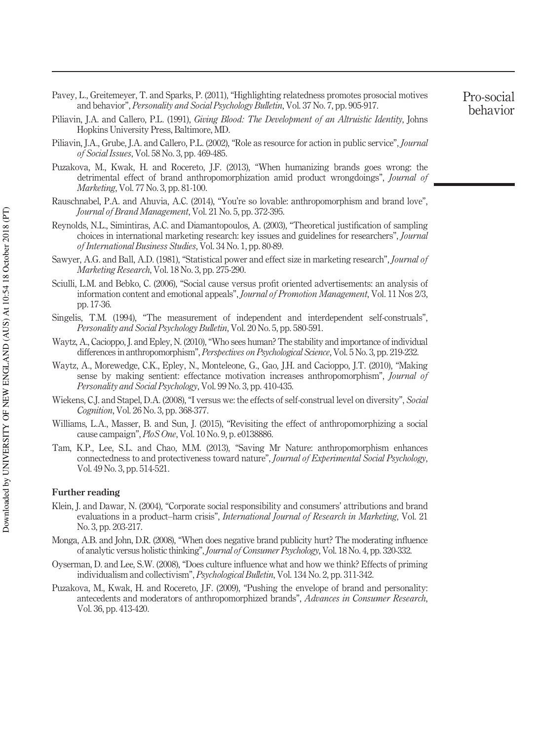- Piliavin, J.A. and Callero, P.L. (1991), *Giving Blood: The Development of an Altruistic Identity*, Johns Hopkins University Press, Baltimore, MD.
- Piliavin, J.A., Grube, J.A. and Callero, P.L. (2002), "Role as resource for action in public service", *Journal of Social Issues*, Vol. 58 No. 3, pp. 469-485.
- Puzakova, M., Kwak, H. and Rocereto, J.F. (2013), "When humanizing brands goes wrong: the detrimental effect of brand anthropomorphization amid product wrongdoings", *Journal of Marketing*, Vol. 77 No. 3, pp. 81-100.
- Rauschnabel, P.A. and Ahuvia, A.C. (2014), "You're so lovable: anthropomorphism and brand love", *Journal of Brand Management*, Vol. 21 No. 5, pp. 372-395.
- Reynolds, N.L., Simintiras, A.C. and Diamantopoulos, A. (2003), "Theoretical justification of sampling choices in international marketing research: key issues and guidelines for researchers", *Journal of International Business Studies*, Vol. 34 No. 1, pp. 80-89.
- Sawyer, A.G. and Ball, A.D. (1981), "Statistical power and effect size in marketing research", *Journal of Marketing Research*, Vol. 18 No. 3, pp. 275-290.
- Sciulli, L.M. and Bebko, C. (2006), "Social cause versus profit oriented advertisements: an analysis of information content and emotional appeals", *Journal of Promotion Management*, Vol. 11 Nos 2/3, pp. 17-36.
- Singelis, T.M. (1994), "The measurement of independent and interdependent self-construals", *Personality and Social Psychology Bulletin*, Vol. 20 No. 5, pp. 580-591.
- Waytz, A., Cacioppo, J. and Epley, N. (2010),"Who sees human? The stability and importance of individual differences in anthropomorphism", *Perspectives on Psychological Science*, Vol. 5 No. 3, pp. 219-232.
- Waytz, A., Morewedge, C.K., Epley, N., Monteleone, G., Gao, J.H. and Cacioppo, J.T. (2010), "Making sense by making sentient: effectance motivation increases anthropomorphism", *Journal of Personality and Social Psychology*, Vol. 99 No. 3, pp. 410-435.
- Wiekens, C.J. and Stapel, D.A. (2008), "I versus we: the effects of self-construal level on diversity", *Social Cognition*, Vol. 26 No. 3, pp. 368-377.
- Williams, L.A., Masser, B. and Sun, J. (2015), "Revisiting the effect of anthropomorphizing a social cause campaign", *PloS One*, Vol. 10 No. 9, p. e0138886.
- Tam, K.P., Lee, S.L. and Chao, M.M. (2013), "Saving Mr Nature: anthropomorphism enhances connectedness to and protectiveness toward nature", *Journal of Experimental Social Psychology*, Vol. 49 No. 3, pp. 514-521.

#### Further reading

- Klein, J. and Dawar, N. (2004), "Corporate social responsibility and consumers' attributions and brand evaluations in a product–harm crisis", *International Journal of Research in Marketing*, Vol. 21 No. 3, pp. 203-217.
- Monga, A.B. and John, D.R. (2008), "When does negative brand publicity hurt? The moderating influence of analytic versus holistic thinking", *Journal of Consumer Psychology*, Vol. 18 No. 4, pp. 320-332.
- Oyserman, D. and Lee, S.W. (2008), "Does culture influence what and how we think? Effects of priming individualism and collectivism", *Psychological Bulletin*, Vol. 134 No. 2, pp. 311-342.
- Puzakova, M., Kwak, H. and Rocereto, J.F. (2009), "Pushing the envelope of brand and personality: antecedents and moderators of anthropomorphized brands", *Advances in Consumer Research*, Vol. 36, pp. 413-420.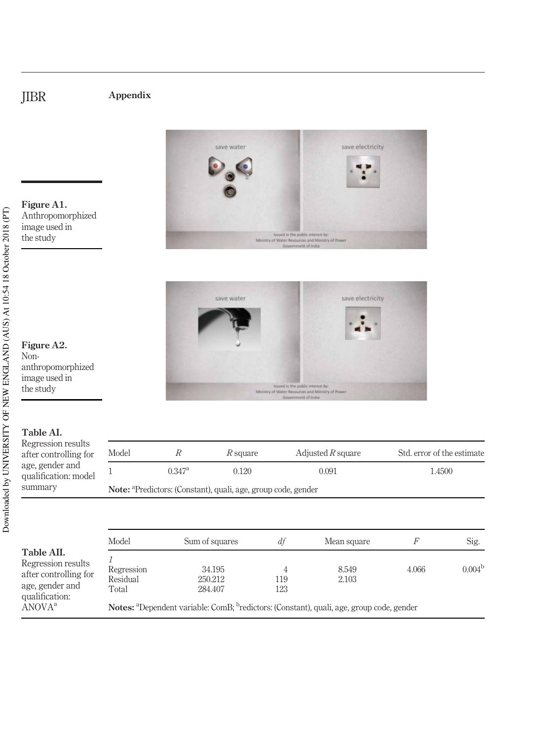#### Appendix





Figure A1. Anthropomorphized image used in the study

JIBR

## Nonanthropomorphized image used in the study

Figure A2.

### Table AI.

Regression after contro age, gender qualification summary

| results<br>olling for | Model | R               | $R$ square                                                                |    | Adjusted $R$ square | Std. error of the estimate |                                  |
|-----------------------|-------|-----------------|---------------------------------------------------------------------------|----|---------------------|----------------------------|----------------------------------|
| and<br>n: model       |       | $0.347^{\rm a}$ | 0.120                                                                     |    | 0.091               | 1.4500                     |                                  |
|                       |       |                 | Note: <sup>a</sup> Predictors: (Constant), quali, age, group code, gender |    |                     |                            |                                  |
|                       |       |                 |                                                                           |    |                     |                            |                                  |
|                       | Modal |                 | $S11$ of counter                                                          | Лf | $Mon$ cause         | F                          | $\mathbf{C}_{\mathbf{i} \alpha}$ |

|                                   | Model      | Sum of squares                                                                                                   | a   | Mean square |       | Sig.               |
|-----------------------------------|------------|------------------------------------------------------------------------------------------------------------------|-----|-------------|-------|--------------------|
| Table AII.                        |            |                                                                                                                  |     |             |       |                    |
| Regression results                | Regression | 34.195                                                                                                           |     | 8.549       | 4.066 | 0.004 <sup>b</sup> |
| after controlling for             | Residual   | 250.212                                                                                                          | 119 | 2.103       |       |                    |
| age, gender and<br>qualification: | Total      | 284.407                                                                                                          | 123 |             |       |                    |
| ANOVA <sup>a</sup>                |            | Notes: <sup>a</sup> Dependent variable: ComB; <sup>b</sup> redictors: (Constant), quali, age, group code, gender |     |             |       |                    |